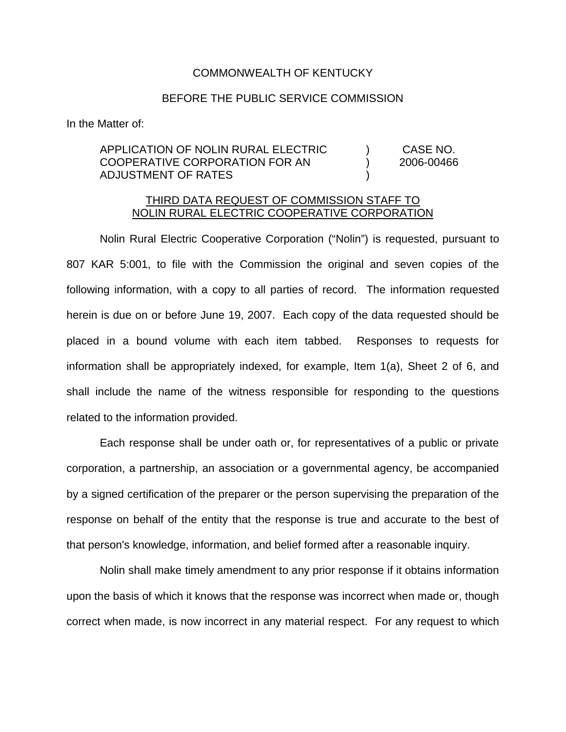## COMMONWEALTH OF KENTUCKY

## BEFORE THE PUBLIC SERVICE COMMISSION

In the Matter of:

## APPLICATION OF NOLIN RURAL ELECTRIC ) CASE NO. COOPERATIVE CORPORATION FOR AN ) 2006-00466 ADJUSTMENT OF RATES )

## THIRD DATA REQUEST OF COMMISSION STAFF TO NOLIN RURAL ELECTRIC COOPERATIVE CORPORATION

Nolin Rural Electric Cooperative Corporation ("Nolin") is requested, pursuant to 807 KAR 5:001, to file with the Commission the original and seven copies of the following information, with a copy to all parties of record. The information requested herein is due on or before June 19, 2007. Each copy of the data requested should be placed in a bound volume with each item tabbed. Responses to requests for information shall be appropriately indexed, for example, Item 1(a), Sheet 2 of 6, and shall include the name of the witness responsible for responding to the questions related to the information provided.

Each response shall be under oath or, for representatives of a public or private corporation, a partnership, an association or a governmental agency, be accompanied by a signed certification of the preparer or the person supervising the preparation of the response on behalf of the entity that the response is true and accurate to the best of that person's knowledge, information, and belief formed after a reasonable inquiry.

Nolin shall make timely amendment to any prior response if it obtains information upon the basis of which it knows that the response was incorrect when made or, though correct when made, is now incorrect in any material respect. For any request to which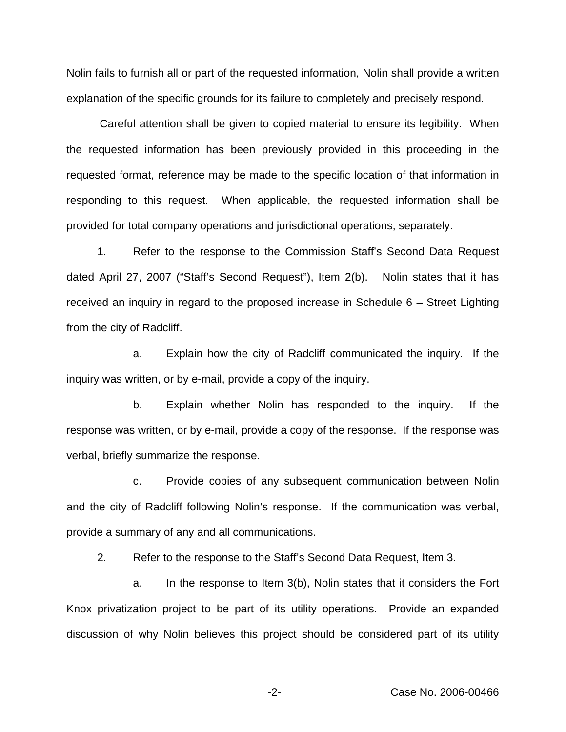Nolin fails to furnish all or part of the requested information, Nolin shall provide a written explanation of the specific grounds for its failure to completely and precisely respond.

Careful attention shall be given to copied material to ensure its legibility. When the requested information has been previously provided in this proceeding in the requested format, reference may be made to the specific location of that information in responding to this request. When applicable, the requested information shall be provided for total company operations and jurisdictional operations, separately.

1. Refer to the response to the Commission Staff's Second Data Request dated April 27, 2007 ("Staff's Second Request"), Item 2(b). Nolin states that it has received an inquiry in regard to the proposed increase in Schedule 6 – Street Lighting from the city of Radcliff.

a. Explain how the city of Radcliff communicated the inquiry. If the inquiry was written, or by e-mail, provide a copy of the inquiry.

b. Explain whether Nolin has responded to the inquiry. If the response was written, or by e-mail, provide a copy of the response. If the response was verbal, briefly summarize the response.

c. Provide copies of any subsequent communication between Nolin and the city of Radcliff following Nolin's response. If the communication was verbal, provide a summary of any and all communications.

2. Refer to the response to the Staff's Second Data Request, Item 3.

a. In the response to Item 3(b), Nolin states that it considers the Fort Knox privatization project to be part of its utility operations. Provide an expanded discussion of why Nolin believes this project should be considered part of its utility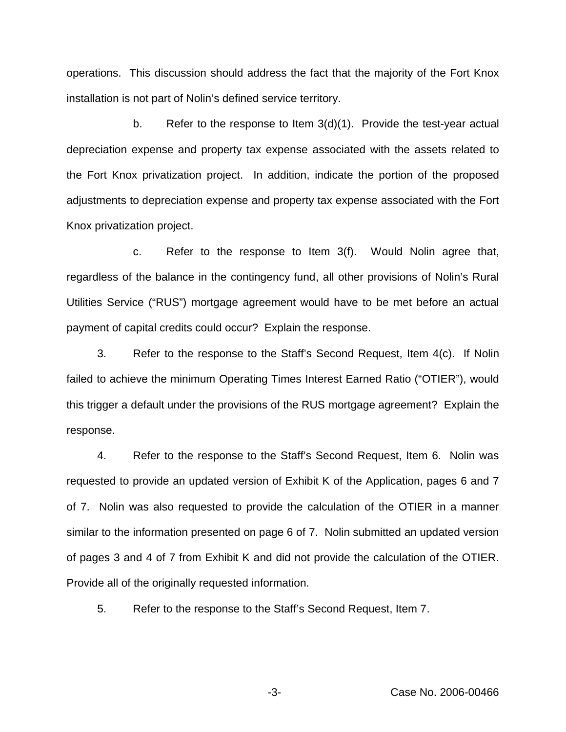operations. This discussion should address the fact that the majority of the Fort Knox installation is not part of Nolin's defined service territory.

b. Refer to the response to Item  $3(d)(1)$ . Provide the test-year actual depreciation expense and property tax expense associated with the assets related to the Fort Knox privatization project. In addition, indicate the portion of the proposed adjustments to depreciation expense and property tax expense associated with the Fort Knox privatization project.

c. Refer to the response to Item 3(f). Would Nolin agree that, regardless of the balance in the contingency fund, all other provisions of Nolin's Rural Utilities Service ("RUS") mortgage agreement would have to be met before an actual payment of capital credits could occur? Explain the response.

3. Refer to the response to the Staff's Second Request, Item 4(c). If Nolin failed to achieve the minimum Operating Times Interest Earned Ratio ("OTIER"), would this trigger a default under the provisions of the RUS mortgage agreement? Explain the response.

4. Refer to the response to the Staff's Second Request, Item 6. Nolin was requested to provide an updated version of Exhibit K of the Application, pages 6 and 7 of 7. Nolin was also requested to provide the calculation of the OTIER in a manner similar to the information presented on page 6 of 7. Nolin submitted an updated version of pages 3 and 4 of 7 from Exhibit K and did not provide the calculation of the OTIER. Provide all of the originally requested information.

5. Refer to the response to the Staff's Second Request, Item 7.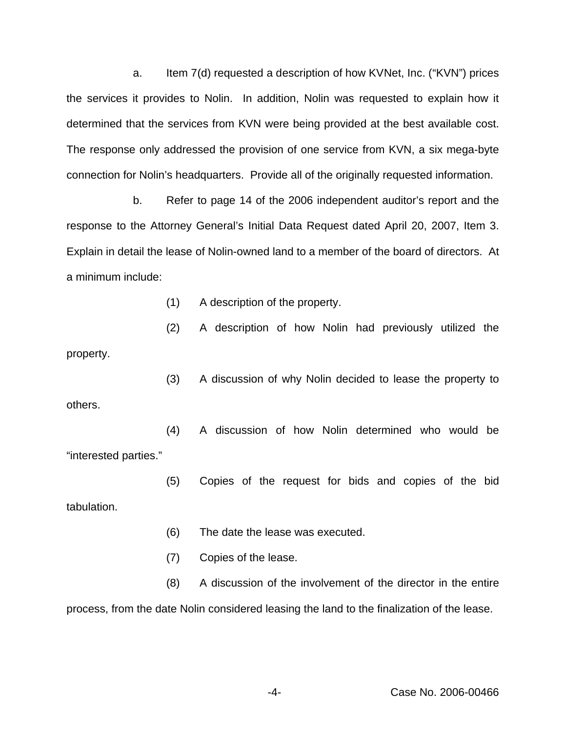a. Item 7(d) requested a description of how KVNet, Inc. ("KVN") prices the services it provides to Nolin. In addition, Nolin was requested to explain how it determined that the services from KVN were being provided at the best available cost. The response only addressed the provision of one service from KVN, a six mega-byte connection for Nolin's headquarters. Provide all of the originally requested information.

b. Refer to page 14 of the 2006 independent auditor's report and the response to the Attorney General's Initial Data Request dated April 20, 2007, Item 3. Explain in detail the lease of Nolin-owned land to a member of the board of directors. At a minimum include:

(1) A description of the property.

(2) A description of how Nolin had previously utilized the property.

(3) A discussion of why Nolin decided to lease the property to others.

(4) A discussion of how Nolin determined who would be "interested parties."

(5) Copies of the request for bids and copies of the bid tabulation.

(6) The date the lease was executed.

(7) Copies of the lease.

(8) A discussion of the involvement of the director in the entire process, from the date Nolin considered leasing the land to the finalization of the lease.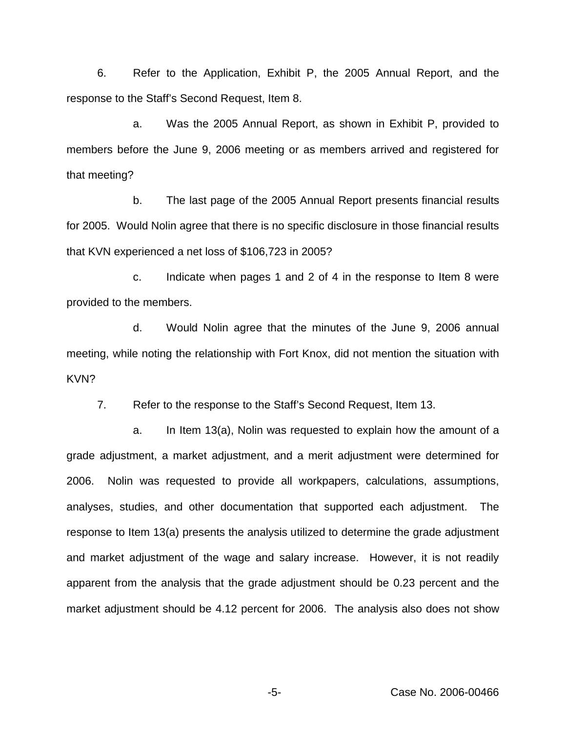6. Refer to the Application, Exhibit P, the 2005 Annual Report, and the response to the Staff's Second Request, Item 8.

a. Was the 2005 Annual Report, as shown in Exhibit P, provided to members before the June 9, 2006 meeting or as members arrived and registered for that meeting?

b. The last page of the 2005 Annual Report presents financial results for 2005. Would Nolin agree that there is no specific disclosure in those financial results that KVN experienced a net loss of \$106,723 in 2005?

c. Indicate when pages 1 and 2 of 4 in the response to Item 8 were provided to the members.

d. Would Nolin agree that the minutes of the June 9, 2006 annual meeting, while noting the relationship with Fort Knox, did not mention the situation with KVN?

7. Refer to the response to the Staff's Second Request, Item 13.

a. In Item 13(a), Nolin was requested to explain how the amount of a grade adjustment, a market adjustment, and a merit adjustment were determined for 2006. Nolin was requested to provide all workpapers, calculations, assumptions, analyses, studies, and other documentation that supported each adjustment. The response to Item 13(a) presents the analysis utilized to determine the grade adjustment and market adjustment of the wage and salary increase. However, it is not readily apparent from the analysis that the grade adjustment should be 0.23 percent and the market adjustment should be 4.12 percent for 2006. The analysis also does not show

-5- Case No. 2006-00466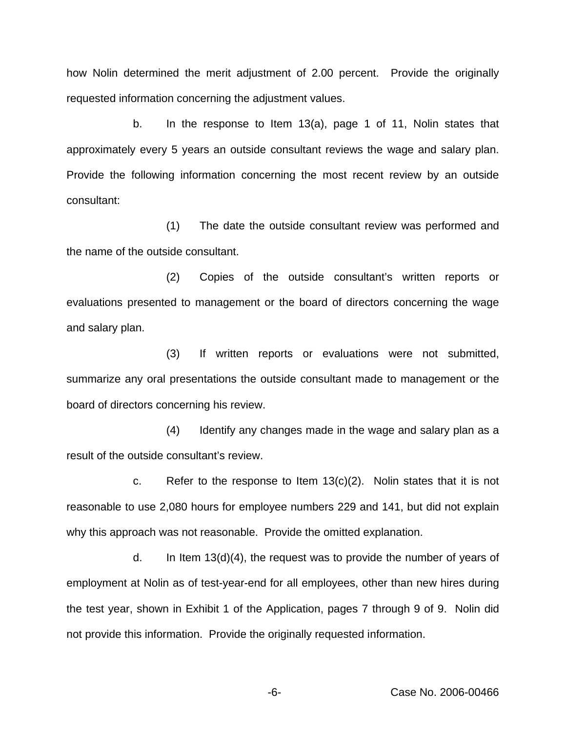how Nolin determined the merit adjustment of 2.00 percent. Provide the originally requested information concerning the adjustment values.

b. In the response to Item 13(a), page 1 of 11, Nolin states that approximately every 5 years an outside consultant reviews the wage and salary plan. Provide the following information concerning the most recent review by an outside consultant:

(1) The date the outside consultant review was performed and the name of the outside consultant.

(2) Copies of the outside consultant's written reports or evaluations presented to management or the board of directors concerning the wage and salary plan.

(3) If written reports or evaluations were not submitted, summarize any oral presentations the outside consultant made to management or the board of directors concerning his review.

(4) Identify any changes made in the wage and salary plan as a result of the outside consultant's review.

c. Refer to the response to Item  $13(c)(2)$ . Nolin states that it is not reasonable to use 2,080 hours for employee numbers 229 and 141, but did not explain why this approach was not reasonable. Provide the omitted explanation.

d. In Item 13(d)(4), the request was to provide the number of years of employment at Nolin as of test-year-end for all employees, other than new hires during the test year, shown in Exhibit 1 of the Application, pages 7 through 9 of 9. Nolin did not provide this information. Provide the originally requested information.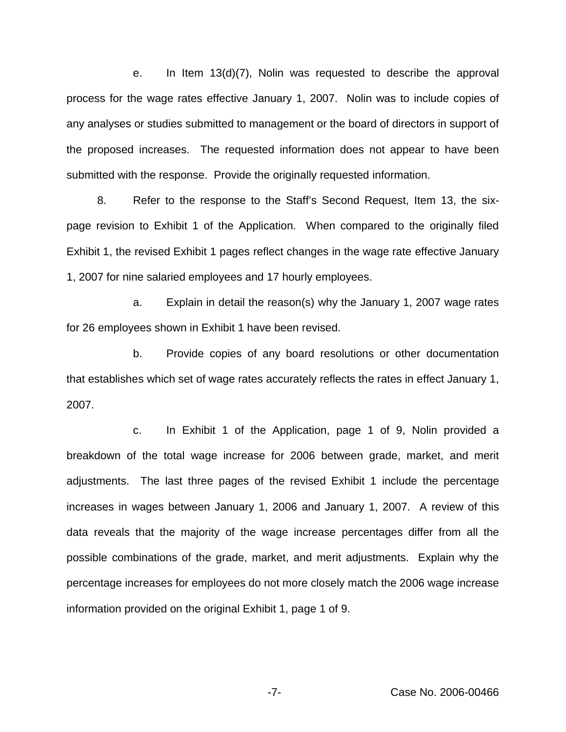e. In Item 13(d)(7), Nolin was requested to describe the approval process for the wage rates effective January 1, 2007. Nolin was to include copies of any analyses or studies submitted to management or the board of directors in support of the proposed increases. The requested information does not appear to have been submitted with the response. Provide the originally requested information.

8. Refer to the response to the Staff's Second Request, Item 13, the sixpage revision to Exhibit 1 of the Application. When compared to the originally filed Exhibit 1, the revised Exhibit 1 pages reflect changes in the wage rate effective January 1, 2007 for nine salaried employees and 17 hourly employees.

a. Explain in detail the reason(s) why the January 1, 2007 wage rates for 26 employees shown in Exhibit 1 have been revised.

b. Provide copies of any board resolutions or other documentation that establishes which set of wage rates accurately reflects the rates in effect January 1, 2007.

c. In Exhibit 1 of the Application, page 1 of 9, Nolin provided a breakdown of the total wage increase for 2006 between grade, market, and merit adjustments. The last three pages of the revised Exhibit 1 include the percentage increases in wages between January 1, 2006 and January 1, 2007. A review of this data reveals that the majority of the wage increase percentages differ from all the possible combinations of the grade, market, and merit adjustments. Explain why the percentage increases for employees do not more closely match the 2006 wage increase information provided on the original Exhibit 1, page 1 of 9.

-7- Case No. 2006-00466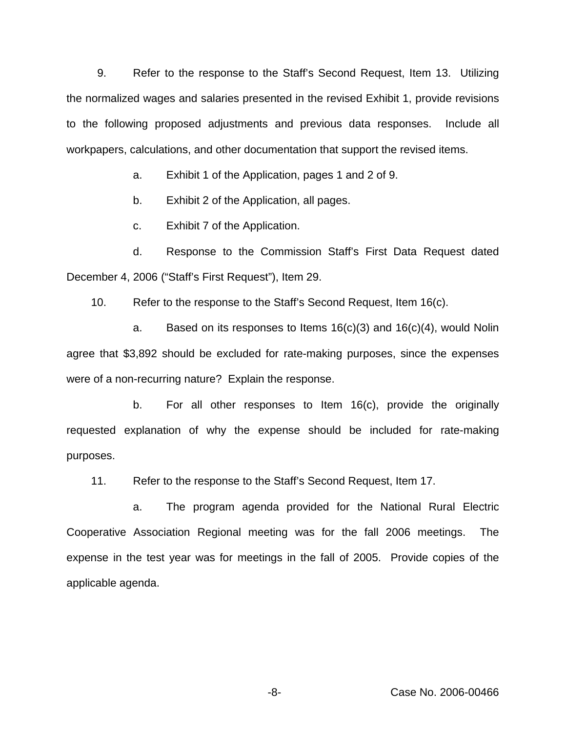9. Refer to the response to the Staff's Second Request, Item 13. Utilizing the normalized wages and salaries presented in the revised Exhibit 1, provide revisions to the following proposed adjustments and previous data responses. Include all workpapers, calculations, and other documentation that support the revised items.

a. Exhibit 1 of the Application, pages 1 and 2 of 9.

b. Exhibit 2 of the Application, all pages.

c. Exhibit 7 of the Application.

d. Response to the Commission Staff's First Data Request dated December 4, 2006 ("Staff's First Request"), Item 29.

10. Refer to the response to the Staff's Second Request, Item 16(c).

a. Based on its responses to Items  $16(c)(3)$  and  $16(c)(4)$ , would Nolin agree that \$3,892 should be excluded for rate-making purposes, since the expenses were of a non-recurring nature? Explain the response.

b. For all other responses to Item 16(c), provide the originally requested explanation of why the expense should be included for rate-making purposes.

11. Refer to the response to the Staff's Second Request, Item 17.

a. The program agenda provided for the National Rural Electric Cooperative Association Regional meeting was for the fall 2006 meetings. The expense in the test year was for meetings in the fall of 2005. Provide copies of the applicable agenda.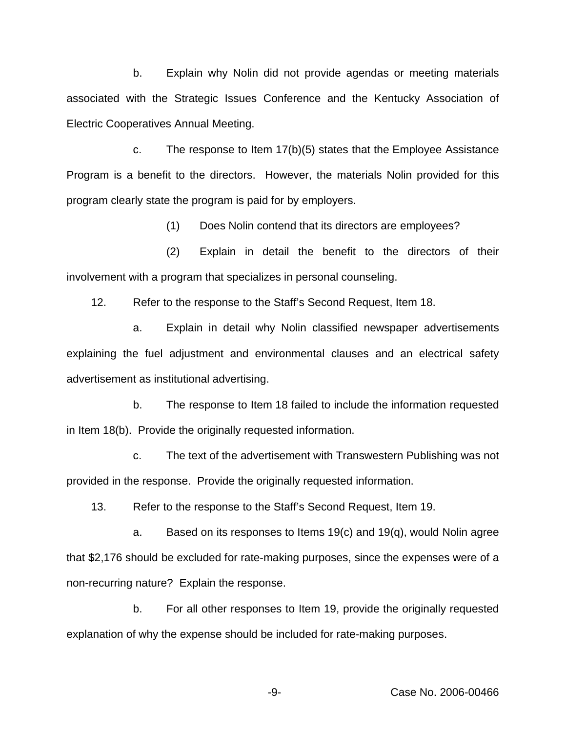b. Explain why Nolin did not provide agendas or meeting materials associated with the Strategic Issues Conference and the Kentucky Association of Electric Cooperatives Annual Meeting.

c. The response to Item 17(b)(5) states that the Employee Assistance Program is a benefit to the directors. However, the materials Nolin provided for this program clearly state the program is paid for by employers.

(1) Does Nolin contend that its directors are employees?

(2) Explain in detail the benefit to the directors of their involvement with a program that specializes in personal counseling.

12. Refer to the response to the Staff's Second Request, Item 18.

a. Explain in detail why Nolin classified newspaper advertisements explaining the fuel adjustment and environmental clauses and an electrical safety advertisement as institutional advertising.

b. The response to Item 18 failed to include the information requested in Item 18(b). Provide the originally requested information.

c. The text of the advertisement with Transwestern Publishing was not provided in the response. Provide the originally requested information.

13. Refer to the response to the Staff's Second Request, Item 19.

a. Based on its responses to Items  $19(c)$  and  $19(q)$ , would Nolin agree that \$2,176 should be excluded for rate-making purposes, since the expenses were of a non-recurring nature? Explain the response.

b. For all other responses to Item 19, provide the originally requested explanation of why the expense should be included for rate-making purposes.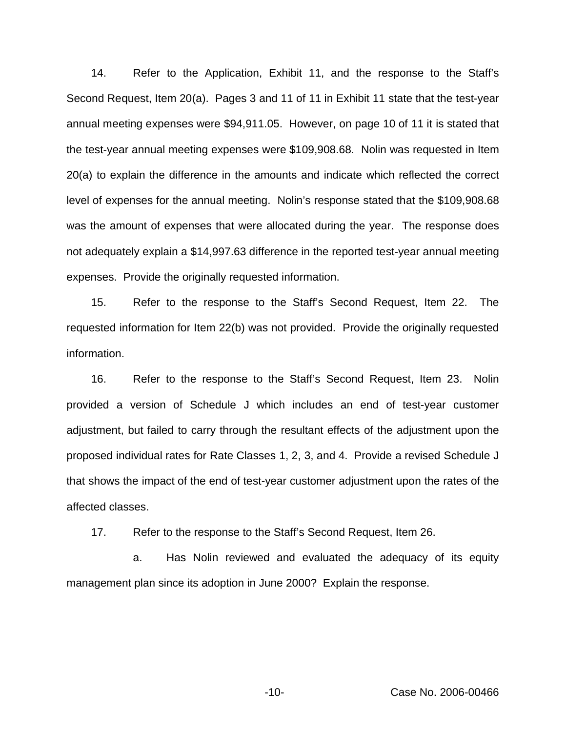14. Refer to the Application, Exhibit 11, and the response to the Staff's Second Request, Item 20(a). Pages 3 and 11 of 11 in Exhibit 11 state that the test-year annual meeting expenses were \$94,911.05. However, on page 10 of 11 it is stated that the test-year annual meeting expenses were \$109,908.68. Nolin was requested in Item 20(a) to explain the difference in the amounts and indicate which reflected the correct level of expenses for the annual meeting. Nolin's response stated that the \$109,908.68 was the amount of expenses that were allocated during the year. The response does not adequately explain a \$14,997.63 difference in the reported test-year annual meeting expenses. Provide the originally requested information.

15. Refer to the response to the Staff's Second Request, Item 22. The requested information for Item 22(b) was not provided. Provide the originally requested information.

16. Refer to the response to the Staff's Second Request, Item 23. Nolin provided a version of Schedule J which includes an end of test-year customer adjustment, but failed to carry through the resultant effects of the adjustment upon the proposed individual rates for Rate Classes 1, 2, 3, and 4. Provide a revised Schedule J that shows the impact of the end of test-year customer adjustment upon the rates of the affected classes.

17. Refer to the response to the Staff's Second Request, Item 26.

a. Has Nolin reviewed and evaluated the adequacy of its equity management plan since its adoption in June 2000? Explain the response.

-10- Case No. 2006-00466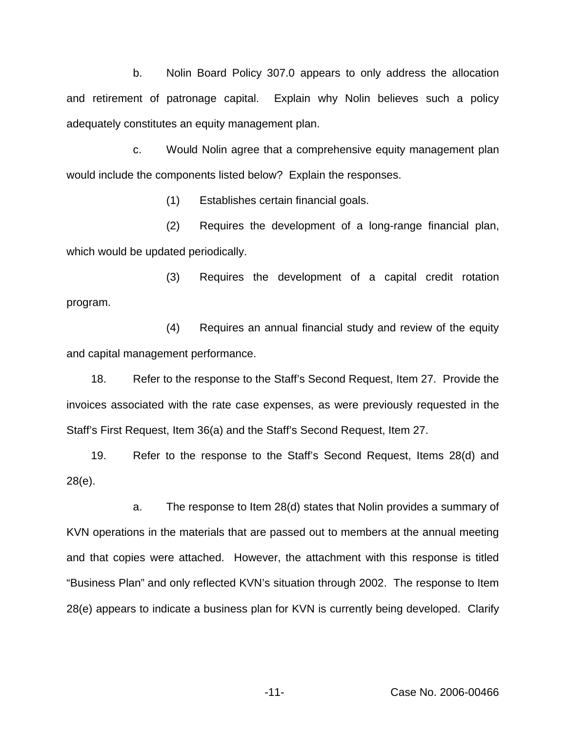b. Nolin Board Policy 307.0 appears to only address the allocation and retirement of patronage capital. Explain why Nolin believes such a policy adequately constitutes an equity management plan.

c. Would Nolin agree that a comprehensive equity management plan would include the components listed below? Explain the responses.

(1) Establishes certain financial goals.

(2) Requires the development of a long-range financial plan, which would be updated periodically.

(3) Requires the development of a capital credit rotation program.

(4) Requires an annual financial study and review of the equity and capital management performance.

18. Refer to the response to the Staff's Second Request, Item 27. Provide the invoices associated with the rate case expenses, as were previously requested in the Staff's First Request, Item 36(a) and the Staff's Second Request, Item 27.

19. Refer to the response to the Staff's Second Request, Items 28(d) and 28(e).

a. The response to Item 28(d) states that Nolin provides a summary of KVN operations in the materials that are passed out to members at the annual meeting and that copies were attached. However, the attachment with this response is titled "Business Plan" and only reflected KVN's situation through 2002. The response to Item 28(e) appears to indicate a business plan for KVN is currently being developed. Clarify